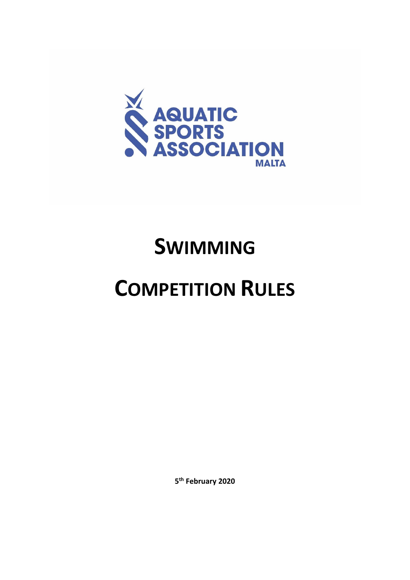

# **SWIMMING**

# **COMPETITION RULES**

**5 th February 2020**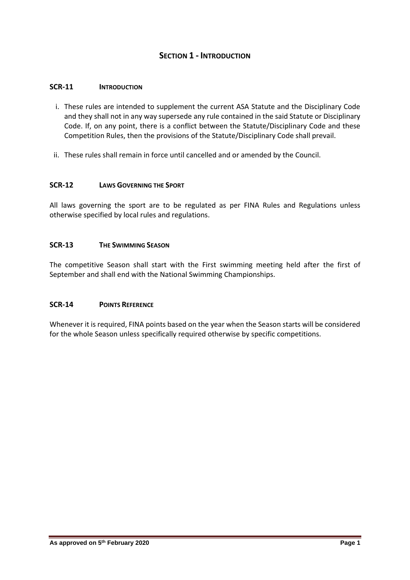# **SECTION 1 - INTRODUCTION**

#### **SCR-11 INTRODUCTION**

- i. These rules are intended to supplement the current ASA Statute and the Disciplinary Code and they shall not in any way supersede any rule contained in the said Statute or Disciplinary Code. If, on any point, there is a conflict between the Statute/Disciplinary Code and these Competition Rules, then the provisions of the Statute/Disciplinary Code shall prevail.
- ii. These rules shall remain in force until cancelled and or amended by the Council.

#### **SCR-12 LAWS GOVERNING THE SPORT**

All laws governing the sport are to be regulated as per FINA Rules and Regulations unless otherwise specified by local rules and regulations.

## **SCR-13 THE SWIMMING SEASON**

The competitive Season shall start with the First swimming meeting held after the first of September and shall end with the National Swimming Championships.

#### **SCR-14 POINTS REFERENCE**

Whenever it is required, FINA points based on the year when the Season starts will be considered for the whole Season unless specifically required otherwise by specific competitions.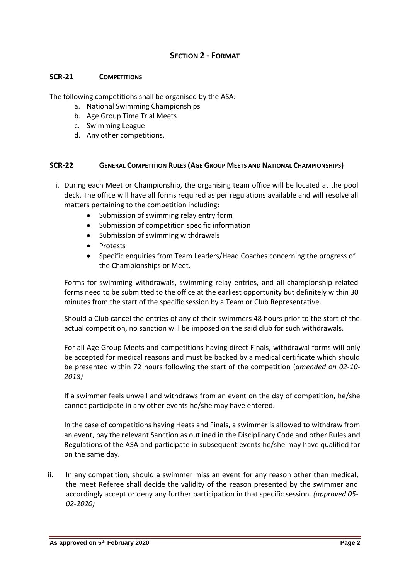# **SECTION 2 - FORMAT**

#### **SCR-21 COMPETITIONS**

The following competitions shall be organised by the ASA:-

- a. National Swimming Championships
- b. Age Group Time Trial Meets
- c. Swimming League
- d. Any other competitions.

## **SCR-22 GENERAL COMPETITION RULES (AGE GROUP MEETS AND NATIONAL CHAMPIONSHIPS)**

- i. During each Meet or Championship, the organising team office will be located at the pool deck. The office will have all forms required as per regulations available and will resolve all matters pertaining to the competition including:
	- Submission of swimming relay entry form
	- Submission of competition specific information
	- Submission of swimming withdrawals
	- Protests
	- Specific enquiries from Team Leaders/Head Coaches concerning the progress of the Championships or Meet.

Forms for swimming withdrawals, swimming relay entries, and all championship related forms need to be submitted to the office at the earliest opportunity but definitely within 30 minutes from the start of the specific session by a Team or Club Representative.

Should a Club cancel the entries of any of their swimmers 48 hours prior to the start of the actual competition, no sanction will be imposed on the said club for such withdrawals.

For all Age Group Meets and competitions having direct Finals, withdrawal forms will only be accepted for medical reasons and must be backed by a medical certificate which should be presented within 72 hours following the start of the competition (*amended on 02-10- 2018)*

If a swimmer feels unwell and withdraws from an event on the day of competition, he/she cannot participate in any other events he/she may have entered.

In the case of competitions having Heats and Finals, a swimmer is allowed to withdraw from an event, pay the relevant Sanction as outlined in the Disciplinary Code and other Rules and Regulations of the ASA and participate in subsequent events he/she may have qualified for on the same day.

ii. In any competition, should a swimmer miss an event for any reason other than medical, the meet Referee shall decide the validity of the reason presented by the swimmer and accordingly accept or deny any further participation in that specific session. *(approved 05- 02-2020)*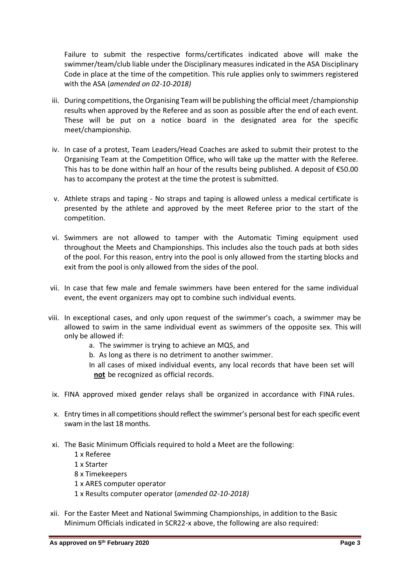Failure to submit the respective forms/certificates indicated above will make the swimmer/team/club liable under the Disciplinary measures indicated in the ASA Disciplinary Code in place at the time of the competition. This rule applies only to swimmers registered with the ASA (*amended on 02-10-2018)*

- iii. During competitions, the Organising Team will be publishing the official meet /championship results when approved by the Referee and as soon as possible after the end of each event. These will be put on a notice board in the designated area for the specific meet/championship.
- iv. In case of a protest, Team Leaders/Head Coaches are asked to submit their protest to the Organising Team at the Competition Office, who will take up the matter with the Referee. This has to be done within half an hour of the results being published. A deposit of €50.00 has to accompany the protest at the time the protest is submitted.
- v. Athlete straps and taping No straps and taping is allowed unless a medical certificate is presented by the athlete and approved by the meet Referee prior to the start of the competition.
- vi. Swimmers are not allowed to tamper with the Automatic Timing equipment used throughout the Meets and Championships. This includes also the touch pads at both sides of the pool. For this reason, entry into the pool is only allowed from the starting blocks and exit from the pool is only allowed from the sides of the pool.
- vii. In case that few male and female swimmers have been entered for the same individual event, the event organizers may opt to combine such individual events.
- viii. In exceptional cases, and only upon request of the swimmer's coach, a swimmer may be allowed to swim in the same individual event as swimmers of the opposite sex. This will only be allowed if:
	- a. The swimmer is trying to achieve an MQS, and
	- b. As long as there is no detriment to another swimmer.
	- In all cases of mixed individual events, any local records that have been set will **not** be recognized as official records.
- ix. FINA approved mixed gender relays shall be organized in accordance with FINA rules.
- x. Entry times in all competitions should reflect the swimmer's personal best for each specific event swam in the last 18 months.
- xi. The Basic Minimum Officials required to hold a Meet are the following:
	- 1 x Referee
	- 1 x Starter
	- 8 x Timekeepers
	- 1 x ARES computer operator
	- 1 x Results computer operator (*amended 02-10-2018)*
- xii. For the Easter Meet and National Swimming Championships, in addition to the Basic Minimum Officials indicated in SCR22-x above, the following are also required: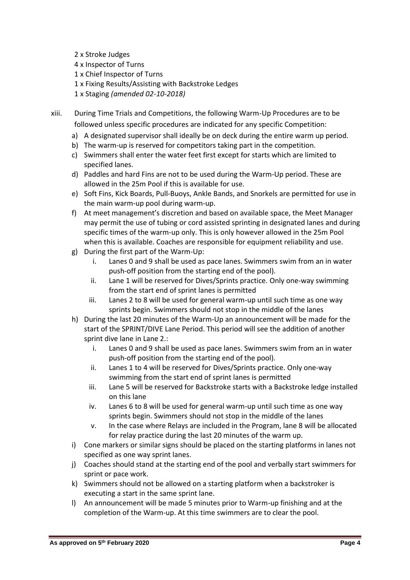- 2 x Stroke Judges
- 4 x Inspector of Turns
- 1 x Chief Inspector of Turns
- 1 x Fixing Results/Assisting with Backstroke Ledges
- 1 x Staging *(amended 02-10-2018)*

xiii. During Time Trials and Competitions, the following Warm-Up Procedures are to be followed unless specific procedures are indicated for any specific Competition:

- a) A designated supervisor shall ideally be on deck during the entire warm up period.
- b) The warm-up is reserved for competitors taking part in the competition.
- c) Swimmers shall enter the water feet first except for starts which are limited to specified lanes.
- d) Paddles and hard Fins are not to be used during the Warm-Up period. These are allowed in the 25m Pool if this is available for use.
- e) Soft Fins, Kick Boards, Pull-Buoys, Ankle Bands, and Snorkels are permitted for use in the main warm-up pool during warm-up.
- f) At meet management's discretion and based on available space, the Meet Manager may permit the use of tubing or cord assisted sprinting in designated lanes and during specific times of the warm-up only. This is only however allowed in the 25m Pool when this is available. Coaches are responsible for equipment reliability and use.
- g) During the first part of the Warm-Up:
	- i. Lanes 0 and 9 shall be used as pace lanes. Swimmers swim from an in water push-off position from the starting end of the pool).
	- ii. Lane 1 will be reserved for Dives/Sprints practice. Only one-way swimming from the start end of sprint lanes is permitted
	- iii. Lanes 2 to 8 will be used for general warm-up until such time as one way sprints begin. Swimmers should not stop in the middle of the lanes
- h) During the last 20 minutes of the Warm-Up an announcement will be made for the start of the SPRINT/DIVE Lane Period. This period will see the addition of another sprint dive lane in Lane 2.:
	- i. Lanes 0 and 9 shall be used as pace lanes. Swimmers swim from an in water push-off position from the starting end of the pool).
	- ii. Lanes 1 to 4 will be reserved for Dives/Sprints practice. Only one-way swimming from the start end of sprint lanes is permitted
	- iii. Lane 5 will be reserved for Backstroke starts with a Backstroke ledge installed on this lane
	- iv. Lanes 6 to 8 will be used for general warm-up until such time as one way sprints begin. Swimmers should not stop in the middle of the lanes
	- v. In the case where Relays are included in the Program, lane 8 will be allocated for relay practice during the last 20 minutes of the warm up.
- i) Cone markers or similar signs should be placed on the starting platforms in lanes not specified as one way sprint lanes.
- j) Coaches should stand at the starting end of the pool and verbally start swimmers for sprint or pace work.
- k) Swimmers should not be allowed on a starting platform when a backstroker is executing a start in the same sprint lane.
- l) An announcement will be made 5 minutes prior to Warm-up finishing and at the completion of the Warm-up. At this time swimmers are to clear the pool.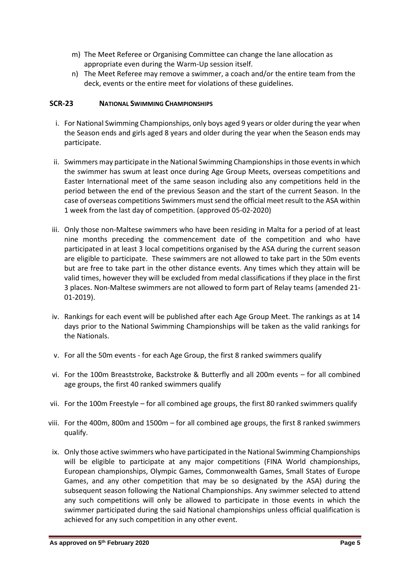- m) The Meet Referee or Organising Committee can change the lane allocation as appropriate even during the Warm-Up session itself.
- n) The Meet Referee may remove a swimmer, a coach and/or the entire team from the deck, events or the entire meet for violations of these guidelines.

## **SCR-23 NATIONAL SWIMMING CHAMPIONSHIPS**

- i. For National Swimming Championships, only boys aged 9 years or older during the year when the Season ends and girls aged 8 years and older during the year when the Season ends may participate.
- ii. Swimmers may participate in the National Swimming Championships in those events in which the swimmer has swum at least once during Age Group Meets, overseas competitions and Easter International meet of the same season including also any competitions held in the period between the end of the previous Season and the start of the current Season. In the case of overseas competitions Swimmers must send the official meet result to the ASA within 1 week from the last day of competition. (approved 05-02-2020)
- iii. Only those non-Maltese swimmers who have been residing in Malta for a period of at least nine months preceding the commencement date of the competition and who have participated in at least 3 local competitions organised by the ASA during the current season are eligible to participate. These swimmers are not allowed to take part in the 50m events but are free to take part in the other distance events. Any times which they attain will be valid times, however they will be excluded from medal classifications if they place in the first 3 places. Non-Maltese swimmers are not allowed to form part of Relay teams (amended 21- 01-2019).
- iv. Rankings for each event will be published after each Age Group Meet. The rankings as at 14 days prior to the National Swimming Championships will be taken as the valid rankings for the Nationals.
- v. For all the 50m events for each Age Group, the first 8 ranked swimmers qualify
- vi. For the 100m Breaststroke, Backstroke & Butterfly and all 200m events for all combined age groups, the first 40 ranked swimmers qualify
- vii. For the 100m Freestyle for all combined age groups, the first 80 ranked swimmers qualify
- viii. For the 400m, 800m and 1500m for all combined age groups, the first 8 ranked swimmers qualify.
- ix. Only those active swimmers who have participated in the National Swimming Championships will be eligible to participate at any major competitions (FINA World championships, European championships, Olympic Games, Commonwealth Games, Small States of Europe Games, and any other competition that may be so designated by the ASA) during the subsequent season following the National Championships. Any swimmer selected to attend any such competitions will only be allowed to participate in those events in which the swimmer participated during the said National championships unless official qualification is achieved for any such competition in any other event.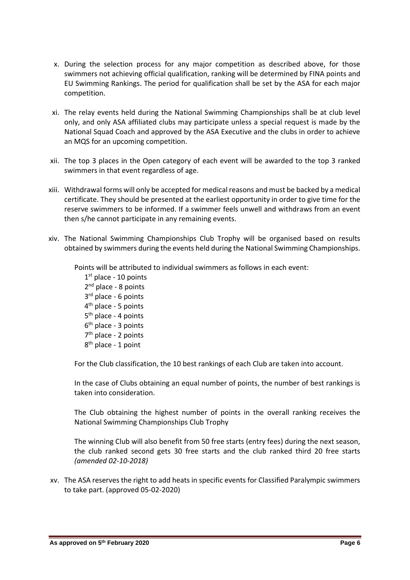- x. During the selection process for any major competition as described above, for those swimmers not achieving official qualification, ranking will be determined by FINA points and EU Swimming Rankings. The period for qualification shall be set by the ASA for each major competition.
- xi. The relay events held during the National Swimming Championships shall be at club level only, and only ASA affiliated clubs may participate unless a special request is made by the National Squad Coach and approved by the ASA Executive and the clubs in order to achieve an MQS for an upcoming competition.
- xii. The top 3 places in the Open category of each event will be awarded to the top 3 ranked swimmers in that event regardless of age.
- xiii. Withdrawal forms will only be accepted for medical reasons and must be backed by a medical certificate. They should be presented at the earliest opportunity in order to give time for the reserve swimmers to be informed. If a swimmer feels unwell and withdraws from an event then s/he cannot participate in any remaining events.
- xiv. The National Swimming Championships Club Trophy will be organised based on results obtained by swimmers during the events held during the National Swimming Championships.

Points will be attributed to individual swimmers as follows in each event:

1st place - 10 points 2<sup>nd</sup> place - 8 points 3<sup>rd</sup> place - 6 points 4<sup>th</sup> place - 5 points 5<sup>th</sup> place - 4 points 6 th place - 3 points 7 th place - 2 points 8<sup>th</sup> place - 1 point

For the Club classification, the 10 best rankings of each Club are taken into account.

In the case of Clubs obtaining an equal number of points, the number of best rankings is taken into consideration.

The Club obtaining the highest number of points in the overall ranking receives the National Swimming Championships Club Trophy

The winning Club will also benefit from 50 free starts (entry fees) during the next season, the club ranked second gets 30 free starts and the club ranked third 20 free starts *(amended 02-10-2018)*

xv. The ASA reserves the right to add heats in specific events for Classified Paralympic swimmers to take part. (approved 05-02-2020)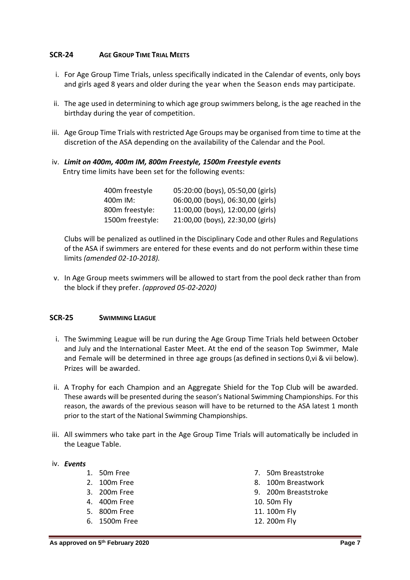## **SCR-24 AGE GROUP TIME TRIAL MEETS**

- i. For Age Group Time Trials, unless specifically indicated in the Calendar of events, only boys and girls aged 8 years and older during the year when the Season ends may participate.
- ii. The age used in determining to which age group swimmers belong, is the age reached in the birthday during the year of competition.
- iii. Age Group Time Trials with restricted Age Groups may be organised from time to time at the discretion of the ASA depending on the availability of the Calendar and the Pool.
- iv. *Limit on 400m, 400m IM, 800m Freestyle, 1500m Freestyle events* Entry time limits have been set for the following events:

| 400m freestyle   | 05:20:00 (boys), 05:50,00 (girls) |
|------------------|-----------------------------------|
| 400m IM:         | 06:00,00 (boys), 06:30,00 (girls) |
| 800m freestyle:  | 11:00,00 (boys), 12:00,00 (girls) |
| 1500m freestyle: | 21:00,00 (boys), 22:30,00 (girls) |

Clubs will be penalized as outlined in the Disciplinary Code and other Rules and Regulations of the ASA if swimmers are entered for these events and do not perform within these time limits *(amended 02-10-2018).*

v. In Age Group meets swimmers will be allowed to start from the pool deck rather than from the block if they prefer. *(approved 05-02-2020)*

#### **SCR-25 SWIMMING LEAGUE**

- i. The Swimming League will be run during the Age Group Time Trials held between October and July and the International Easter Meet. At the end of the season Top Swimmer, Male and Female will be determined in three age groups (as defined in sections [0](#page-8-0)[,vi](#page-8-1) [& vii](#page-8-2) below). Prizes will be awarded.
- ii. A Trophy for each Champion and an Aggregate Shield for the Top Club will be awarded. These awards will be presented during the season's National Swimming Championships. For this reason, the awards of the previous season will have to be returned to the ASA latest 1 month prior to the start of the National Swimming Championships.
- iii. All swimmers who take part in the Age Group Time Trials will automatically be included in the League Table.

## iv. *Events*

- 1. 50m Free
- 2. 100m Free
- 3. 200m Free
- 4. 400m Free
- 5. 800m Free
- 6. 1500m Free
- 7. 50m Breaststroke
- 8. 100m Breastwork
- 9. 200m Breaststroke
- 10. 50m Fly
- 11. 100m Fly
- 12. 200m Fly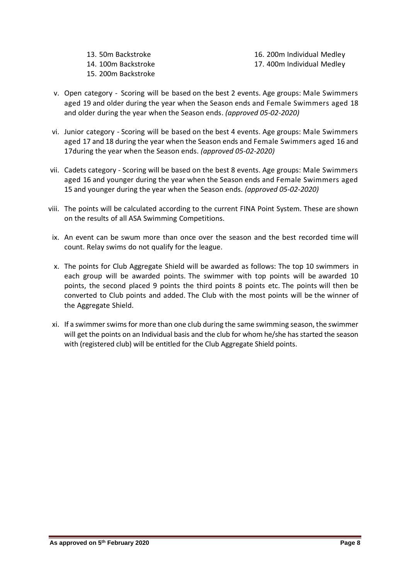13. 50m Backstroke 14. 100m Backstroke 15. 200m Backstroke

16. 200m Individual Medley 17. 400m Individual Medley

- <span id="page-8-0"></span>v. Open category - Scoring will be based on the best 2 events. Age groups: Male Swimmers aged 19 and older during the year when the Season ends and Female Swimmers aged 18 and older during the year when the Season ends. *(approved 05-02-2020)*
- <span id="page-8-1"></span>vi. Junior category - Scoring will be based on the best 4 events. Age groups: Male Swimmers aged 17 and 18 during the year when the Season ends and Female Swimmers aged 16 and 17during the year when the Season ends. *(approved 05-02-2020)*
- <span id="page-8-2"></span>vii. Cadets category - Scoring will be based on the best 8 events. Age groups: Male Swimmers aged 16 and younger during the year when the Season ends and Female Swimmers aged 15 and younger during the year when the Season ends. *(approved 05-02-2020)*
- viii. The points will be calculated according to the current FINA Point System. These are shown on the results of all ASA Swimming Competitions.
- ix. An event can be swum more than once over the season and the best recorded time will count. Relay swims do not qualify for the league.
- x. The points for Club Aggregate Shield will be awarded as follows: The top 10 swimmers in each group will be awarded points. The swimmer with top points will be awarded 10 points, the second placed 9 points the third points 8 points etc. The points will then be converted to Club points and added. The Club with the most points will be the winner of the Aggregate Shield.
- xi. If a swimmer swims for more than one club during the same swimming season, the swimmer will get the points on an Individual basis and the club for whom he/she has started the season with (registered club) will be entitled for the Club Aggregate Shield points.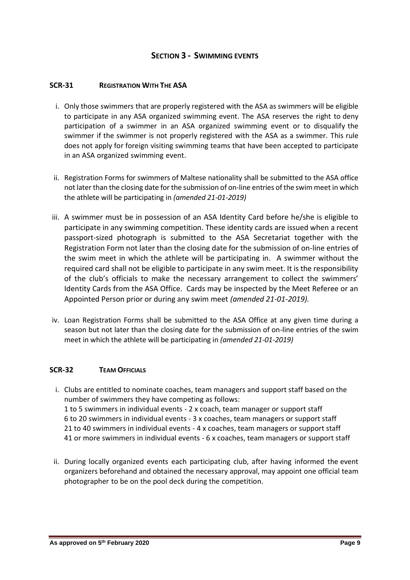## **SECTION 3 - SWIMMING EVENTS**

#### **SCR-31 REGISTRATION WITH THE ASA**

- i. Only those swimmers that are properly registered with the ASA as swimmers will be eligible to participate in any ASA organized swimming event. The ASA reserves the right to deny participation of a swimmer in an ASA organized swimming event or to disqualify the swimmer if the swimmer is not properly registered with the ASA as a swimmer. This rule does not apply for foreign visiting swimming teams that have been accepted to participate in an ASA organized swimming event.
- ii. Registration Forms for swimmers of Maltese nationality shall be submitted to the ASA office not later than the closing date for the submission of on-line entries of the swim meet in which the athlete will be participating in *(amended 21-01-2019)*
- iii. A swimmer must be in possession of an ASA Identity Card before he/she is eligible to participate in any swimming competition. These identity cards are issued when a recent passport-sized photograph is submitted to the ASA Secretariat together with the Registration Form not later than the closing date for the submission of on-line entries of the swim meet in which the athlete will be participating in. A swimmer without the required card shall not be eligible to participate in any swim meet. It is the responsibility of the club's officials to make the necessary arrangement to collect the swimmers' Identity Cards from the ASA Office. Cards may be inspected by the Meet Referee or an Appointed Person prior or during any swim meet *(amended 21-01-2019).*
- iv. Loan Registration Forms shall be submitted to the ASA Office at any given time during a season but not later than the closing date for the submission of on-line entries of the swim meet in which the athlete will be participating in *(amended 21-01-2019)*

## **SCR-32 TEAM OFFICIALS**

- i. Clubs are entitled to nominate coaches, team managers and support staff based on the number of swimmers they have competing as follows: 1 to 5 swimmers in individual events - 2 x coach, team manager or support staff 6 to 20 swimmers in individual events - 3 x coaches, team managers or support staff 21 to 40 swimmers in individual events - 4 x coaches, team managers or support staff 41 or more swimmers in individual events - 6 x coaches, team managers or support staff
- ii. During locally organized events each participating club, after having informed the event organizers beforehand and obtained the necessary approval, may appoint one official team photographer to be on the pool deck during the competition.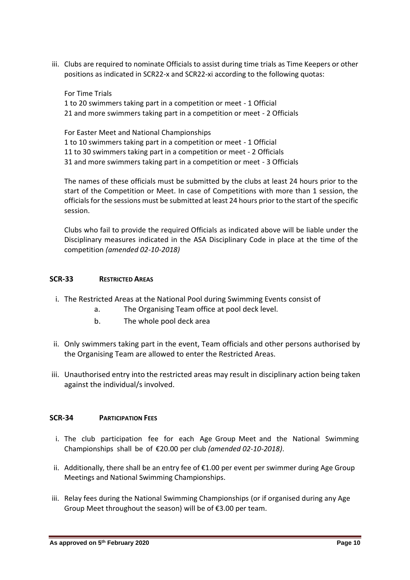iii. Clubs are required to nominate Officials to assist during time trials as Time Keepers or other positions as indicated in SCR22-x and SCR22-xi according to the following quotas:

For Time Trials 1 to 20 swimmers taking part in a competition or meet - 1 Official 21 and more swimmers taking part in a competition or meet - 2 Officials

For Easter Meet and National Championships 1 to 10 swimmers taking part in a competition or meet - 1 Official 11 to 30 swimmers taking part in a competition or meet - 2 Officials 31 and more swimmers taking part in a competition or meet - 3 Officials

The names of these officials must be submitted by the clubs at least 24 hours prior to the start of the Competition or Meet. In case of Competitions with more than 1 session, the officials for the sessions must be submitted at least 24 hours prior to the start of the specific session.

Clubs who fail to provide the required Officials as indicated above will be liable under the Disciplinary measures indicated in the ASA Disciplinary Code in place at the time of the competition *(amended 02-10-2018)*

# **SCR-33 RESTRICTED AREAS**

- i. The Restricted Areas at the National Pool during Swimming Events consist of
	- a. The Organising Team office at pool deck level.
	- b. The whole pool deck area
- ii. Only swimmers taking part in the event, Team officials and other persons authorised by the Organising Team are allowed to enter the Restricted Areas.
- iii. Unauthorised entry into the restricted areas may result in disciplinary action being taken against the individual/s involved.

## **SCR-34 PARTICIPATION FEES**

- i. The club participation fee for each Age Group Meet and the National Swimming Championships shall be of €20.00 per club *(amended 02-10-2018)*.
- ii. Additionally, there shall be an entry fee of €1.00 per event per swimmer during Age Group Meetings and National Swimming Championships.
- iii. Relay fees during the National Swimming Championships (or if organised during any Age Group Meet throughout the season) will be of €3.00 per team.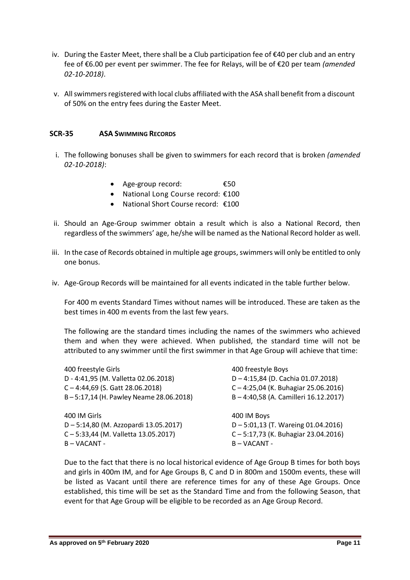- iv. During the Easter Meet, there shall be a Club participation fee of €40 per club and an entry fee of €6.00 per event per swimmer. The fee for Relays, will be of €20 per team *(amended 02-10-2018)*.
- v. All swimmers registered with local clubs affiliated with the ASA shall benefit from a discount of 50% on the entry fees during the Easter Meet.

## **SCR-35 ASA SWIMMING RECORDS**

- i. The following bonuses shall be given to swimmers for each record that is broken *(amended 02-10-2018)*:
	- Age-group record: €50
	- National Long Course record: €100
	- National Short Course record: €100
- ii. Should an Age-Group swimmer obtain a result which is also a National Record, then regardless of the swimmers' age, he/she will be named as the National Record holder as well.
- iii. In the case of Records obtained in multiple age groups, swimmers will only be entitled to only one bonus.
- iv. Age-Group Records will be maintained for all events indicated in the table further below.

For 400 m events Standard Times without names will be introduced. These are taken as the best times in 400 m events from the last few years.

The following are the standard times including the names of the swimmers who achieved them and when they were achieved. When published, the standard time will not be attributed to any swimmer until the first swimmer in that Age Group will achieve that time:

| 400 freestyle Girls                    | 400 freestyle Boys                    |
|----------------------------------------|---------------------------------------|
| D - 4:41,95 (M. Valletta 02.06.2018)   | D-4:15,84 (D. Cachia 01.07.2018)      |
| $C - 4:44,69$ (S. Gatt 28.06.2018)     | C-4:25,04 (K. Buhagiar 25.06.2016)    |
| B-5:17,14 (H. Pawley Neame 28.06.2018) | B-4:40,58 (A. Camilleri 16.12.2017)   |
| 400 IM Girls                           | 400 IM Boys                           |
| D-5:14,80 (M. Azzopardi 13.05.2017)    | $D - 5:01,13$ (T. Wareing 01.04.2016) |
| C-5:33,44 (M. Valletta 13.05.2017)     | C-5:17,73 (K. Buhagiar 23.04.2016)    |
| B-VACANT-                              | $B - VACANT -$                        |

Due to the fact that there is no local historical evidence of Age Group B times for both boys and girls in 400m IM, and for Age Groups B, C and D in 800m and 1500m events, these will be listed as Vacant until there are reference times for any of these Age Groups. Once established, this time will be set as the Standard Time and from the following Season, that event for that Age Group will be eligible to be recorded as an Age Group Record.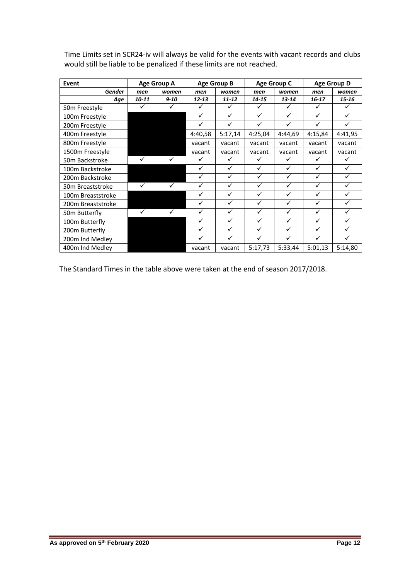| Event                     | <b>Age Group A</b> |          | <b>Age Group B</b> |           | <b>Age Group C</b> |              | <b>Age Group D</b> |         |
|---------------------------|--------------------|----------|--------------------|-----------|--------------------|--------------|--------------------|---------|
| <b>Gender</b>             | men                | women    | men                | women     | men                | women        | men                | women   |
| Age                       | 10-11              | $9 - 10$ | $12 - 13$          | $11 - 12$ | 14-15              | $13 - 14$    | 16-17              | 15-16   |
| 50 <sub>m</sub> Freestyle |                    |          |                    | ✓         | ✓                  | ✓            | ✓                  |         |
| 100m Freestyle            |                    |          | ✓                  | ✓         | ✓                  | ✓            | ✓                  | ✓       |
| 200m Freestyle            |                    |          | ✓                  | ✓         | $\checkmark$       | $\checkmark$ | $\checkmark$       | ✓       |
| 400m Freestyle            |                    |          | 4:40,58            | 5:17,14   | 4:25,04            | 4:44,69      | 4:15,84            | 4:41,95 |
| 800m Freestyle            |                    |          | vacant             | vacant    | vacant             | vacant       | vacant             | vacant  |
| 1500m Freestyle           |                    |          | vacant             | vacant    | vacant             | vacant       | vacant             | vacant  |
| 50m Backstroke            | ✓                  | ✓        |                    | ✓         | ✓                  | ✓            | ✓                  |         |
| 100m Backstroke           |                    |          | ✓                  | ✓         | ✓                  | ✓            | ✓                  | ✓       |
| 200m Backstroke           |                    |          |                    | ✓         | ✓                  | ✓            | ✓                  |         |
| 50m Breaststroke          | ✓                  | ✓        | ✓                  | ✓         | ✓                  | $\checkmark$ | ✓                  | ✓       |
| 100m Breaststroke         |                    |          | ✓                  | ✓         | $\checkmark$       | $\checkmark$ | ✓                  | ✓       |
| 200m Breaststroke         |                    |          | ✓                  | ✓         | $\checkmark$       | ✓            | ✓                  | ✓       |
| 50m Butterfly             | ✓                  |          |                    | ✓         | ✓                  | ✓            | ✓                  |         |
| 100m Butterfly            |                    |          |                    | ✓         | ✓                  | ✓            | $\checkmark$       |         |
| 200m Butterfly            |                    |          | ✓                  | ✓         | ✓                  | ✓            | $\checkmark$       |         |
| 200m Ind Medley           |                    |          |                    | ✓         | ✓                  | ✓            | ✓                  |         |
| 400m Ind Medley           |                    |          | vacant             | vacant    | 5:17,73            | 5:33,44      | 5:01,13            | 5:14,80 |

Time Limits set in SCR24-iv will always be valid for the events with vacant records and clubs would still be liable to be penalized if these limits are not reached.

The Standard Times in the table above were taken at the end of season 2017/2018.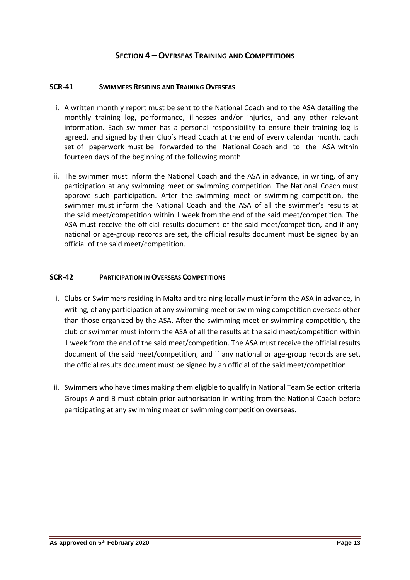# **SECTION 4 – OVERSEAS TRAINING AND COMPETITIONS**

#### **SCR-41 SWIMMERS RESIDING AND TRAINING OVERSEAS**

- i. A written monthly report must be sent to the National Coach and to the ASA detailing the monthly training log, performance, illnesses and/or injuries, and any other relevant information. Each swimmer has a personal responsibility to ensure their training log is agreed, and signed by their Club's Head Coach at the end of every calendar month. Each set of paperwork must be forwarded to the National Coach and to the ASA within fourteen days of the beginning of the following month.
- ii. The swimmer must inform the National Coach and the ASA in advance, in writing, of any participation at any swimming meet or swimming competition. The National Coach must approve such participation. After the swimming meet or swimming competition, the swimmer must inform the National Coach and the ASA of all the swimmer's results at the said meet/competition within 1 week from the end of the said meet/competition. The ASA must receive the official results document of the said meet/competition, and if any national or age-group records are set, the official results document must be signed by an official of the said meet/competition.

## **SCR-42 PARTICIPATION IN OVERSEAS COMPETITIONS**

- i. Clubs or Swimmers residing in Malta and training locally must inform the ASA in advance, in writing, of any participation at any swimming meet or swimming competition overseas other than those organized by the ASA. After the swimming meet or swimming competition, the club or swimmer must inform the ASA of all the results at the said meet/competition within 1 week from the end of the said meet/competition. The ASA must receive the official results document of the said meet/competition, and if any national or age-group records are set, the official results document must be signed by an official of the said meet/competition.
- ii. Swimmers who have times making them eligible to qualify in National Team Selection criteria Groups A and B must obtain prior authorisation in writing from the National Coach before participating at any swimming meet or swimming competition overseas.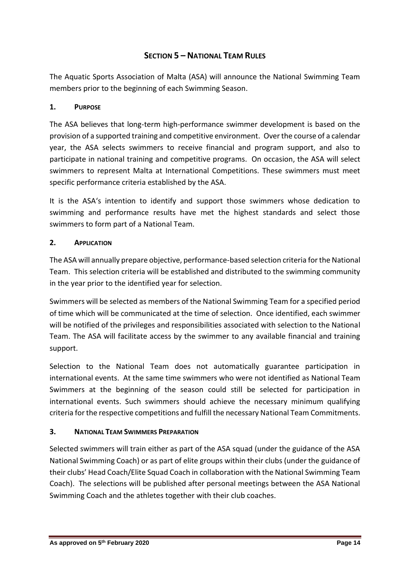# **SECTION 5 – NATIONAL TEAM RULES**

The Aquatic Sports Association of Malta (ASA) will announce the National Swimming Team members prior to the beginning of each Swimming Season.

# **1. PURPOSE**

The ASA believes that long-term high-performance swimmer development is based on the provision of a supported training and competitive environment. Over the course of a calendar year, the ASA selects swimmers to receive financial and program support, and also to participate in national training and competitive programs. On occasion, the ASA will select swimmers to represent Malta at International Competitions. These swimmers must meet specific performance criteria established by the ASA.

It is the ASA's intention to identify and support those swimmers whose dedication to swimming and performance results have met the highest standards and select those swimmers to form part of a National Team.

# **2. APPLICATION**

The ASA will annually prepare objective, performance-based selection criteria for the National Team. This selection criteria will be established and distributed to the swimming community in the year prior to the identified year for selection.

Swimmers will be selected as members of the National Swimming Team for a specified period of time which will be communicated at the time of selection. Once identified, each swimmer will be notified of the privileges and responsibilities associated with selection to the National Team. The ASA will facilitate access by the swimmer to any available financial and training support.

Selection to the National Team does not automatically guarantee participation in international events. At the same time swimmers who were not identified as National Team Swimmers at the beginning of the season could still be selected for participation in international events. Such swimmers should achieve the necessary minimum qualifying criteria for the respective competitions and fulfill the necessary National Team Commitments.

# **3. NATIONAL TEAM SWIMMERS PREPARATION**

Selected swimmers will train either as part of the ASA squad (under the guidance of the ASA National Swimming Coach) or as part of elite groups within their clubs (under the guidance of their clubs' Head Coach/Elite Squad Coach in collaboration with the National Swimming Team Coach). The selections will be published after personal meetings between the ASA National Swimming Coach and the athletes together with their club coaches.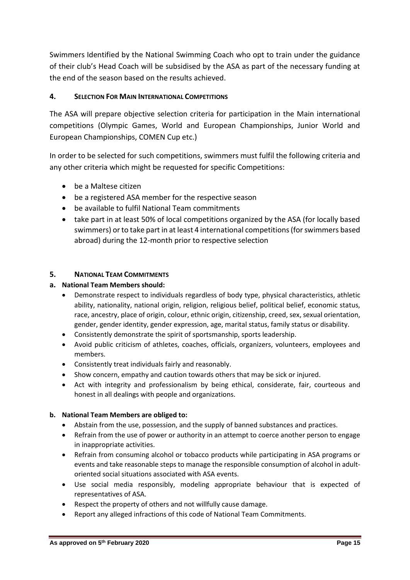Swimmers Identified by the National Swimming Coach who opt to train under the guidance of their club's Head Coach will be subsidised by the ASA as part of the necessary funding at the end of the season based on the results achieved.

# **4. SELECTION FOR MAIN INTERNATIONAL COMPETITIONS**

The ASA will prepare objective selection criteria for participation in the Main international competitions (Olympic Games, World and European Championships, Junior World and European Championships, COMEN Cup etc.)

In order to be selected for such competitions, swimmers must fulfil the following criteria and any other criteria which might be requested for specific Competitions:

- be a Maltese citizen
- be a registered ASA member for the respective season
- be available to fulfil National Team commitments
- take part in at least 50% of local competitions organized by the ASA (for locally based swimmers) or to take part in at least 4 international competitions (for swimmers based abroad) during the 12-month prior to respective selection

## **5. NATIONAL TEAM COMMITMENTS**

## **a. National Team Members should:**

- Demonstrate respect to individuals regardless of body type, physical characteristics, athletic ability, nationality, national origin, religion, religious belief, political belief, economic status, race, ancestry, place of origin, colour, ethnic origin, citizenship, creed, sex, sexual orientation, gender, gender identity, gender expression, age, marital status, family status or disability.
- Consistently demonstrate the spirit of sportsmanship, sports leadership.
- Avoid public criticism of athletes, coaches, officials, organizers, volunteers, employees and members.
- Consistently treat individuals fairly and reasonably.
- Show concern, empathy and caution towards others that may be sick or injured.
- Act with integrity and professionalism by being ethical, considerate, fair, courteous and honest in all dealings with people and organizations.

## **b. National Team Members are obliged to:**

- Abstain from the use, possession, and the supply of banned substances and practices.
- Refrain from the use of power or authority in an attempt to coerce another person to engage in inappropriate activities.
- Refrain from consuming alcohol or tobacco products while participating in ASA programs or events and take reasonable steps to manage the responsible consumption of alcohol in adultoriented social situations associated with ASA events.
- Use social media responsibly, modeling appropriate behaviour that is expected of representatives of ASA.
- Respect the property of others and not willfully cause damage.
- Report any alleged infractions of this code of National Team Commitments.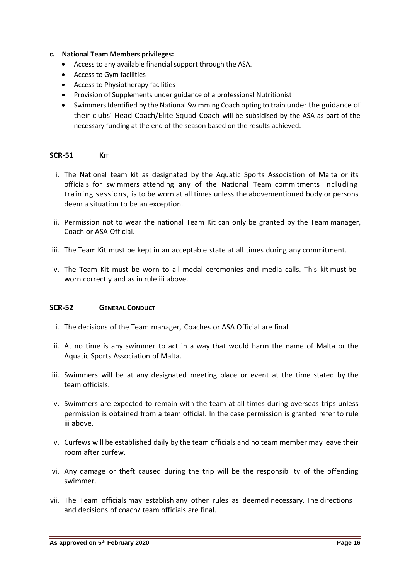#### **c. National Team Members privileges:**

- Access to any available financial support through the ASA.
- Access to Gym facilities
- Access to Physiotherapy facilities
- Provision of Supplements under guidance of a professional Nutritionist
- Swimmers Identified by the National Swimming Coach opting to train under the guidance of their clubs' Head Coach/Elite Squad Coach will be subsidised by the ASA as part of the necessary funding at the end of the season based on the results achieved.

#### **SCR-51 KIT**

- i. The National team kit as designated by the Aquatic Sports Association of Malta or its officials for swimmers attending any of the National Team commitments including training sessions, is to be worn at all times unless the abovementioned body or persons deem a situation to be an exception.
- ii. Permission not to wear the national Team Kit can only be granted by the Team manager, Coach or ASA Official.
- <span id="page-16-0"></span>iii. The Team Kit must be kept in an acceptable state at all times during any commitment.
- iv. The Team Kit must be worn to all medal ceremonies and media calls. This kit must be worn correctly and as in rule [iii](#page-16-0) above.

## **SCR-52 GENERAL CONDUCT**

- i. The decisions of the Team manager, Coaches or ASA Official are final.
- ii. At no time is any swimmer to act in a way that would harm the name of Malta or the Aquatic Sports Association of Malta.
- <span id="page-16-1"></span>iii. Swimmers will be at any designated meeting place or event at the time stated by the team officials.
- iv. Swimmers are expected to remain with the team at all times during overseas trips unless permission is obtained from a team official. In the case permission is granted refer to rule [iii](#page-16-1) above.
- v. Curfews will be established daily by the team officials and no team member may leave their room after curfew.
- vi. Any damage or theft caused during the trip will be the responsibility of the offending swimmer.
- vii. The Team officials may establish any other rules as deemed necessary. The directions and decisions of coach/ team officials are final.